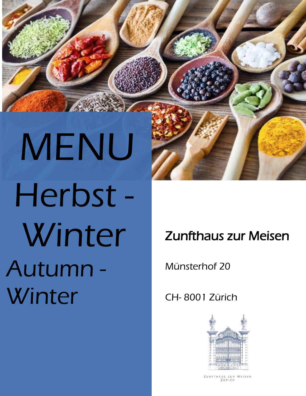MENU Herbst - Winter Autumn - **Winter** 

i

# Zunfthaus zur Meisen

Münsterhof 20

CH- 8001 Zürich



MEISEN ZUNFTHAUS ZUR ZÜRICH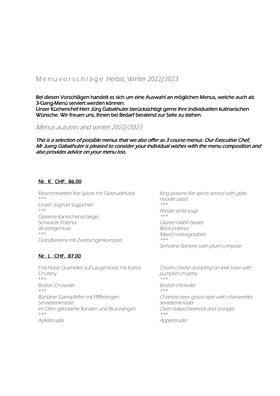# M e n u v o r s c h l ä g e Herbst, Winter 2022/2023

Bei diesen Vorschlägen handelt es sich um eine Auswahl an möglichen Menus, welche auch als 3-Gang-Menü serviert werden können. Unser Küchenchef Herr Jürg Gabathuler berücksichtigt gerne Ihre individuellen kulinarischen Wünsche. Wir freuen uns, Ihnen bei Bedarf beratend zur Seite zu stehen.

Menus autumn and winter 2022/2023

This is a selection of possible menus that we also offer as 3 course menus. Our Executive Chef, Mr Juerg Gabathuler is pleased to consider your individual wishes with the menu composition and also provides advice on your menu too.

### Nr. K CHF. 86.00

Riesencrevetten five Spices mit Glasnudelsalat \*\*\* Linsen Joghurt Süppchen \*\*\* Glasierte Kaninchenschlegel Schwarze Polenta **Wurzelgemüse** \*\*\* Griessflamerie mit Zwetschgenkompott

# Nr. L CHF. 87.00

Frischkäse Quenelles auf Laugentoast mit Kürbis Chuteny \*\*\* Boston Chowder \*\*\* Bündner Gamspfeffer mit Pfifferlingen Serviettenknödel Im Ofen gebratene Randen und Blutorangen \*\*\* Apfelstrudel

King prawns five spices served with glass noodle salad \*\*\*Persian lentil soup  $+ + +$ Glazed rabbit beater Black polenta Mixed rootvegetables \*\*\*Semolina flamerie with plum compote

Cream cheese dumpling on leek toast with pumpkin chuteny \*\*\*Boston chowder \*\*\*Chamois stew grison style with chanterelles Seviettenknödel Oven baked beetroot and oranges \*\*\*Applestrudel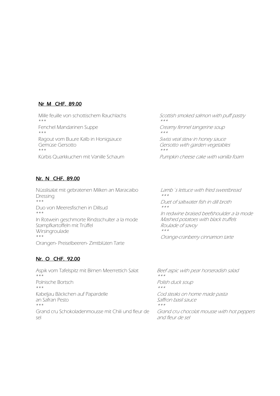### Nr M CHF. 89.00

Mille feuille von schottischem Rauchlachs \*\*\* Fenchel Mandarinen Suppe \*\*\* Ragout vom Buure Kalb in Honigsauce Gemüse Gersotto \*\*\* Kürbis Quarkkuchen mit Vanille Schaum

Scottish smoked salmon with puff pastry \*\*\*Creamy fennel tangerine soup  $\star\star\star$ Swiss veal stew in honey sauce Gersotto with garden vegetables \*\*\*

Pumpkin cheese cake with vanilla foam

### Nr. N CHF. 89.00

Nüsslisalat mit gebratenen Milken an Maracaibo Dressing \*\*\* Duo von Meeresfischen in Dillsud \*\*\* In Rotwein geschmorte Rindsschulter a la mode Stampfkartoffeln mit Trüffel Wirsingroulade \*\*\* Orangen- Preiselbeeren- Zimtblüten Tarte

### Nr. O CHF. 92.00

Aspik vom Tafelspitz mit Birnen Meerrettich Salat \*\*\* Polnische Bortsch \*\*\* Kabeljau Bäckchen auf Papardelle an Safran Pesto \*\*\* Grand cru Schokoladenmousse mit Chili und fleur de sel

Lamb´s lettuce with fried sweetbread \*\*\*

Duet of saltwater fish in dill broth \*\*\*

In redwine braised beefshoulder a la mode Mashed potatoes with black truffels Roulade of savoy \*\*\*

Orange-cranberry cinnamon tarte

Beef aspic with pear horseradish salad \*\*\*Polish duck soup \*\*\*Cod steaks on home made pasta Saffron basil sauce \*\*\*

Grand cru chocolat mousse with hot peppers and fleur de sel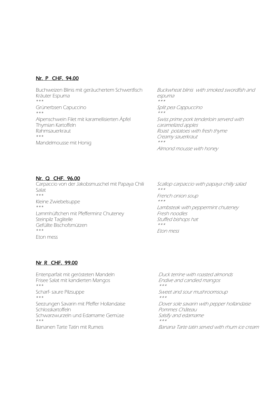### Nr. P CHF. 94.00

Buchweizen Blinis mit geräuchertem Schwertfisch Kräuter Espuma \*\*\* Grünerbsen Capuccino \*\*\* Alpenschwein Filet mit karamellisierten Äpfel Thymian Kartoffeln Rahmsauerkraut \*\*\* Mandelmousse mit Honig

Buckwheat blinis with smoked swordfish and espuma \*\*\*Split pea Cappuccino  $***$ Swiss prime pork tenderloin serverd with caramelized apples Roast potatoes with fresh thyme Creamy sauerkraut \*\*\*Almond mousse with honey

### Nr. Q CHF. 96.00

Carpaccio von der Jakobsmuschel mit Papaya Chili Salat \*\*\* Kleine Zwiebelsuppe \*\*\* Lammhüftchen mit Pfefferminz Chuteney Steinpilz Taglitelle Gefüllte Bischofsmützen \*\*\* Eton mess

Scallop carpaccio with papaya chilly salad \*\*\*French onion soup \*\*\*Lambsteak with peppermint chuteney Fresh noodles Stuffed bishops hat \*\*\*Eton mess

### Nr R CHF. 99.00

Entenparfait mit gerösteten Mandeln Frisee Salat mit kandierten Mangos \*\*\* Scharf- saure Pilzsuppe \*\*\* Seezungen Savarin mit Pfeffer Hollandaise Schlosskartoffeln Schwarzwurzeln und Edamame Gemüse \*\*\*

Bananen Tarte Tatin mit Rumeis

Duck terrine with roasted almonds Endive and candied mangos \*\*\*

Sweet and sour mushroomsoup \*\*\*

Dover sole savarin with pepper hollandaise Pommes Château Salsify and edamame \*\*\*

Banana Tarte tatin served with rhum ice cream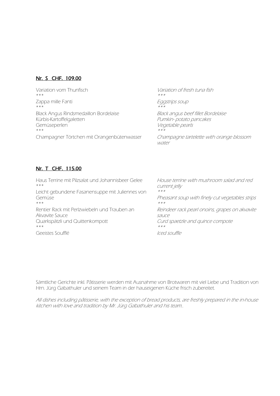### Nr. S CHF. 109.00

Variation vom Thunfisch  $* * *$ Zappa mille Fanti \*\*\* Black Angus Rindsmedaillon Bordelaise Kürbis-Kartoffelgaletten Gemüseperlen \*\*\* Champagner Törtchen mit Orangenbütenwasser

Variation of fresh tuna fish \*\*\*Eggstrips soup \*\*\*Black angus beef fillet Bordelaise Pumkin- potato pancakes Vegetable pearls \*\*\*Champagne tartelette with orange blossom water

### Nr. T CHF. 115.00

Haus Terrine mit Pilzsalat und Johannisbeer Gelee \*\*\* Leicht gebundene Fasanensuppe mit Juliennes von Gemüse \*\*\* Rentier Rack mit Perlzwiebeln und Trauben an Akvavite Sauce Quarkspätzli und Quittenkompott \*\*\* Geeistes Soufflé House terrine with mushroom salad and red current jelly  $* * *$ Pheasant soup with finely cut vegetables strips  $* * *$ Reindeer rack pearl onoins, grapes on akvavite sauce Curd spaetzle and quince compote \*\*\*Iced souffle

Sämtliche Gerichte inkl. Pâtisserie werden mit Ausnahme von Brotwaren mit viel Liebe und Tradition von Hrn. Jürg Gabathuler und seinem Team in der hauseigenen Küche frisch zubereitet.

All dishes including pâtisserie, with the exception of bread products, are freshly prepared in the in-house kitchen with love and tradition by Mr. Jürg Gabathuler and his team..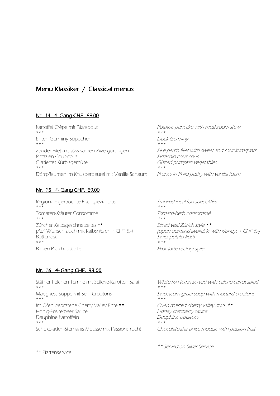# Menu Klassiker / Classical menus

### Nr. 14 4- Gang CHF. 88.00

Kartoffel Crêpe mit Pilzragout \*\*\* Enten Germiny Süppchen \*\*\* Zander Filet mit süss sauren Zwergorangen Pistazien Cous-cous Glasiertes Kürbisgemüse \*\*\* Dörrpflaumen im Knusperbeutel mit Vanille Schaum Potatoe pancake with mushroom stew \*\*\*Duck Germiny \*\*\*Pike perch fillet with sweet and sour kumquats Pistachio cous cous Glazed pumpkin vegetables \*\*\*Prunes in Philo pastry with vanilla foam

# Nr. 15 4- Gang CHF. 89.00

Regionale geräuchte Fischspezialitäten \*\*\* Tomaten-Kräuter Consommé \*\*\* Zürcher Kalbsgeschnetzeltes \*\* (Auf Wunsch auch mit Kalbsnieren + CHF 5.-) Butterrösti \*\*\* Birnen Pfarrhaustorte

Smoked local fish specialities \*\*\*Tomato-herb consommé \*\*\*Sliced veal Zürich style \*\* (upon demand available with kidneys + CHF 5.-) Swiss potato Rösti \*\*\*Pear tarte rectory style

# Nr. 16 4- Gang CHF. 93.00

Stäfner Felchen Terrine mit Sellerie-Karotten Salat \*\*\* Maisgriess Suppe mit Senf Croutons \*\*\* Im Ofen gebratene Cherry Valley Ente \*\* Honig-Preiselbeer Sauce Dauphine Kartoffeln \*\*\* Schokoladen-Sternanis Mousse mit Passionsfrucht

White fish terrin served with celerie-carrot salad \*\*\*Sweetcorn gruel soup with mustard croutons  $\star\star\star$ Oven roasted cherry valley duck \*\* Honey cranberry sauce Dauphine potatoes \*\*\*

Chocolate-star anise mousse with passion fruit

\*\* Served on Silver-Service

\*\* Plattenservice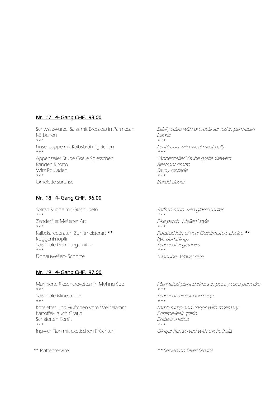# Nr. 17 4- Gang CHF. 93.00

Schwarzwurzel Salat mit Bresaola in Parmesan Körbchen \*\*\* Linsensuppe mit Kalbsbrätkügelchen \*\*\* Appenzeller Stube Gselle Spiesschen Randen Risotto Wirz Rouladen \*\*\* Omelette surprise

### Nr. 18 4- Gang CHF. 96.00

Safran Suppe mit Glasnudeln \*\*\* Zanderfilet Meilener Art \*\*\* Kalbskareebraten Zunftmeisterart \*\* Roggenknöpfli Saisonale Gemüsegarnitur \*\*\* Donauwellen- Schnitte

### Nr. 19 4- Gang CHF. 97.00

Marinierte Riesencrevetten in Mohncrêpe \*\*\* Saisonale Minestrone \*\*\* Kotelettes und Hüftchen vom Weidelamm Kartoffel-Lauch Gratin Schalotten Konfit \*\*\* Ingwer Flan mit exotischen Früchten

Salsify salad with bresaola served in parmesan basket \*\*\*Lentilsoup with weal-meat balls  $* * *$ "Appenzeller" Stube gselle skewers Beetroot risotto Savoy roulade \*\*\*Baked alaska

Saffron soup with glassnoodles  $\star\star\star$ Pike perch "Meilen" style \*\*\*Roasted loin of veal Guildmasters choice \*\* Rye dumplings Seasonal vegetables \*\*\*"Danube- Wave" slice

Marinated giant shrimps in poppy seed pancake \*\*\*Seasonal minestrone soup \*\*\*Lamb rump and chops with rosemary Potatoe-leek gratin Braised shallots \*\*\*Ginger flan served with exotic fruits

\*\* Plattenservice \*\* Served on Silver-Service